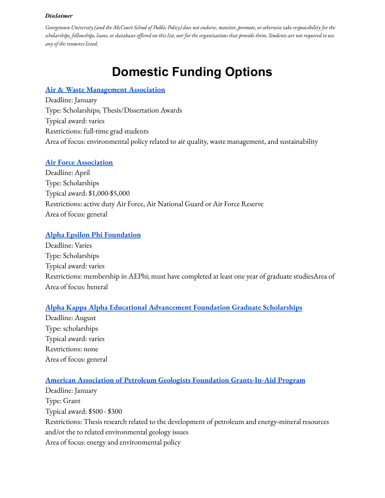#### *Disclaimer*

Georgetown University (and the McCourt School of Public Policy) does not endorse, monitor, promote, or otherwise take responsibility for the scholarships, fellowships, loans, or databases offered on this list, nor for the organizations that provide them. Students are not required to use *any of the resources listed.*

# **Domestic Funding Options**

#### **Air & Waste [Management](https://www.awma.org/scholarships) Association**

Deadline: January Type: Scholarships; Thesis/Dissertation Awards Typical award: varies Restrictions: full-time grad students Area of focus: environmental policy related to air quality, waste management, and sustainability

#### **Air Force [Association](https://www.afa.org/education/scholarships)**

Deadline: April Type: Scholarships Typical award: \$1,000-\$5,000 Restrictions: active duty Air Force, Air National Guard or Air Force Reserve Area of focus: general

#### **Alpha Epsilon Phi [Foundation](https://www.aephi.org/scholarships)**

Deadline: Varies Type: Scholarships Typical award: varies Restrictions: membership in AEPhi; must have completed at least one year of graduate studiesArea of Area of focus: heneral

#### **Alpha Kappa Alpha Educational [Advancement](https://akaeaf.org/scholarships) Foundation Graduate Scholarships**

Deadline: August Type: scholarships Typical award: varies Restrictions: none Area of focus: general

#### **American Association of Petroleum Geologists Foundation [Grants-In-Aid](https://foundation.aapg.org/grants-in-aid-program) Program**

Deadline: January Type: Grant Typical award: \$500 - \$300 Restrictions: Thesis research related to the development of petroleum and energy-mineral resources and/or the to related environmental geology issues Area of focus: energy and environmental policy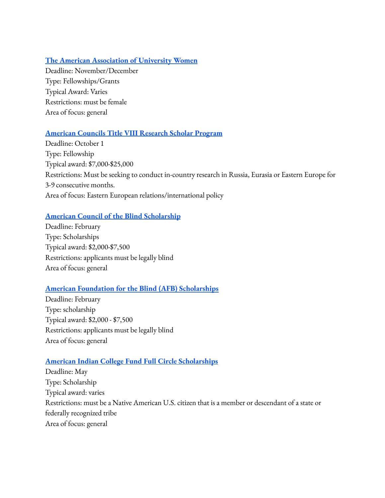#### **The American [Association](https://www.aauw.org/resources/programs/fellowships-grants/) of University Women**

Deadline: November/December Type: Fellowships/Grants Typical Award: Varies Restrictions: must be female Area of focus: general

#### **[American](https://www.studyabroad.americancouncils.org/rsp) Councils Title VIII Research Scholar Program**

Deadline: October 1 Type: Fellowship Typical award: \$7,000-\$25,000 Restrictions: Must be seeking to conduct in-country research in Russia, Eurasia or Eastern Europe for 3-9 consecutive months. Area of focus: Eastern European relations/international policy

#### **American Council of the Blind [Scholarship](http://www.acb.org/scholarships)**

Deadline: February Type: Scholarships Typical award: \$2,000-\$7,500 Restrictions: applicants must be legally blind Area of focus: general

#### **American Foundation for the Blind (AFB) [Scholarships](https://www.afb.org/about-afb/events-and-awards/afb-scholarships)**

Deadline: February Type: scholarship Typical award: \$2,000 - \$7,500 Restrictions: applicants must be legally blind Area of focus: general

#### **American Indian College Fund Full Circle [Scholarships](https://collegefund.org/students/scholarships/)**

Deadline: May Type: Scholarship Typical award: varies Restrictions: must be a Native American U.S. citizen that is a member or descendant of a state or federally recognized tribe Area of focus: general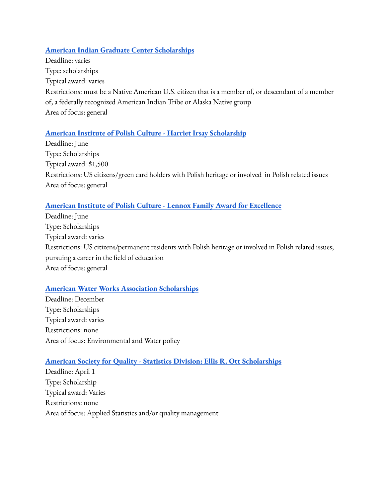#### **American Indian Graduate Center [Scholarships](https://www.aigcs.org/aigc-scholarship-fellowship-opportunities/graduate-opportunities)**

Deadline: varies Type: scholarships Typical award: varies Restrictions: must be a Native American U.S. citizen that is a member of, or descendant of a member of, a federally recognized American Indian Tribe or Alaska Native group Area of focus: general

## **American Institute of Polish Culture - Harriet Irsay [Scholarship](https://ampolinstitute.com/application/)**

Deadline: June Type: Scholarships Typical award: \$1,500 Restrictions: US citizens/green card holders with Polish heritage or involved in Polish related issues Area of focus: general

## **American Institute of Polish Culture - Lennox Family Award for [Excellence](https://ampolinstitute.com/application/)**

Deadline: June Type: Scholarships Typical award: varies Restrictions: US citizens/permanent residents with Polish heritage or involved in Polish related issues; pursuing a career in the field of education Area of focus: general

## **American Water Works Association [Scholarships](https://www.awwa.org/Membership-Volunteering/Students-Young-Professionals/AWWA-Scholarships)**

Deadline: December Type: Scholarships Typical award: varies Restrictions: none Area of focus: Environmental and Water policy

## **American Society for Quality - Statistics Division: Ellis R. Ott [Scholarships](https://my.asq.org/communities/files/177/9384)**

Deadline: April 1 Type: Scholarship Typical award: Varies Restrictions: none Area of focus: Applied Statistics and/or quality management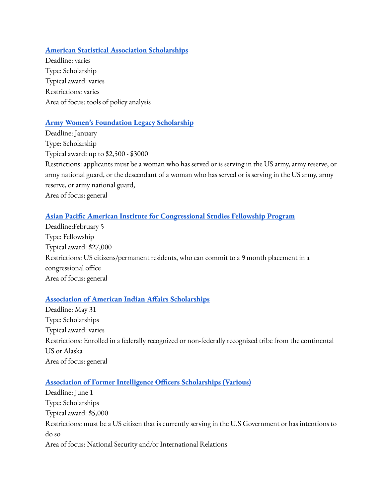#### **American Statistical Association [Scholarships](https://www.amstat.org/ASA/Your-Career/Awards-and-Scholarships.aspx)**

Deadline: varies Type: Scholarship Typical award: varies Restrictions: varies Area of focus: tools of policy analysis

#### **Army Women's [Foundation](https://www.awfdn.org/scholarships/general-information/) Legacy Scholarship**

Deadline: January Type: Scholarship Typical award: up to \$2,500 - \$3000 Restrictions: applicants must be a woman who has served or is serving in the US army, army reserve, or army national guard, or the descendant of a woman who has served or is serving in the US army, army reserve, or army national guard, Area of focus: general

#### **Asian Pacific American Institute for [Congressional](http://apaics.org/congressional-fellowship/) Studies Fellowship Program**

Deadline:February 5 Type: Fellowship Typical award: \$27,000 Restrictions: US citizens/permanent residents, who can commit to a 9 month placement in a congressional office Area of focus: general

#### **Association of American Indian Affairs [Scholarships](https://www.indian-affairs.org/scholarships.html)**

Deadline: May 31 Type: Scholarships Typical award: varies Restrictions: Enrolled in a federally recognized or non-federally recognized tribe from the continental US or Alaska Area of focus: general

#### **Association of Former Intelligence Officers [Scholarships](https://www.afio.com/13_scholarships.htm) (Various)**

Deadline: June 1 Type: Scholarships Typical award: \$5,000 Restrictions: must be a US citizen that is currently serving in the U.S Government or has intentions to do so Area of focus: National Security and/or International Relations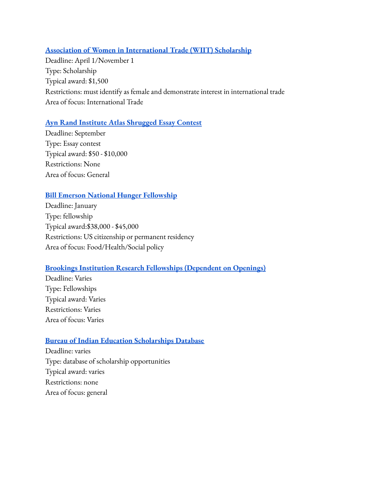#### **Association of Women in [International](https://www.wiit.org/wiit-scholarships) Trade (WIIT) Scholarship**

Deadline: April 1/November 1 Type: Scholarship Typical award: \$1,500 Restrictions: must identify as female and demonstrate interest in international trade Area of focus: International Trade

#### **Ayn Rand Institute Atlas [Shrugged](https://aynrand.org/students/essay-contests/#tab-3-atlas-shrugged) Essay Contest**

Deadline: September Type: Essay contest Typical award: \$50 - \$10,000 Restrictions: None Area of focus: General

#### **Bill Emerson National Hunger [Fellowship](https://www.hungercenter.org/fellowships/emerson/)**

Deadline: January Type: fellowship Typical award:\$38,000 - \$45,000 Restrictions: US citizenship or permanent residency Area of focus: Food/Health/Social policy

## **Brookings Institution Research Fellowships [\(Dependent](https://www.brookings.edu/careers/) on Openings)**

Deadline: Varies Type: Fellowships Typical award: Varies Restrictions: Varies Area of focus: Varies

## **Bureau of Indian Education [Scholarships](https://www.bie.edu/landing-page/scholarships-internships) Database**

Deadline: varies Type: database of scholarship opportunities Typical award: varies Restrictions: none Area of focus: general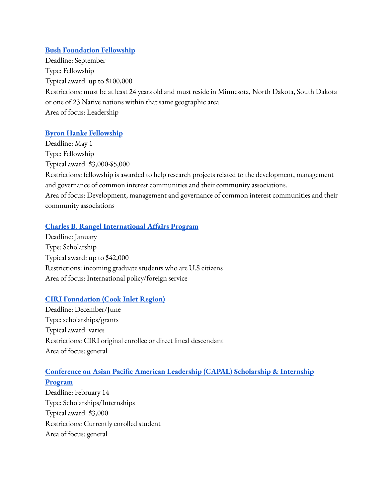#### **Bush [Foundation](https://www.bushfoundation.org/fellowships/bush-fellowship) Fellowship**

Deadline: September Type: Fellowship Typical award: up to \$100,000 Restrictions: must be at least 24 years old and must reside in Minnesota, North Dakota, South Dakota or one of 23 Native nations within that same geographic area Area of focus: Leadership

#### **Byron Hanke [Fellowship](https://foundation.caionline.org/scholarships/hanke/)**

Deadline: May 1 Type: Fellowship Typical award: \$3,000-\$5,000 Restrictions: fellowship is awarded to help research projects related to the development, management and governance of common interest communities and their community associations. Area of focus: Development, management and governance of common interest communities and their community associations

#### **Charles B. Rangel [International](http://www.rangelprogram.org/graduate-fellowship-program/) Affairs Program**

Deadline: January Type: Scholarship Typical award: up to \$42,000 Restrictions: incoming graduate students who are U.S citizens Area of focus: International policy/foreign service

## **CIRI [Foundation](http://thecirifoundation.org/scholarships/) (Cook Inlet Region)**

Deadline: December/June Type: scholarships/grants Typical award: varies Restrictions: CIRI original enrollee or direct lineal descendant Area of focus: general

# **Conference on Asian Pacific American Leadership (CAPAL) [Scholarship](https://www.capal.org/site/2018/09/04/scholarship-internship-program/) & Internship**

**[Program](https://www.capal.org/site/2018/09/04/scholarship-internship-program/)** Deadline: February 14 Type: Scholarships/Internships Typical award: \$3,000 Restrictions: Currently enrolled student Area of focus: general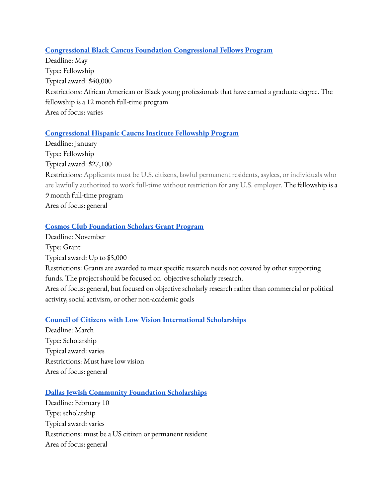## **[Congressional](https://www.cbcfinc.org/fellowships/) Black Caucus Foundation Congressional Fellows Program**

Deadline: May Type: Fellowship Typical award: \$40,000 Restrictions: African American or Black young professionals that have earned a graduate degree. The fellowship is a 12 month full-time program Area of focus: varies

## **[Congressional](https://chci.org/programs/public-policy-fellowship-program/) Hispanic Caucus Institute Fellowship Program**

Deadline: January Type: Fellowship Typical award: \$27,100 Restrictions: Applicants must be U.S. citizens, lawful permanent residents, asylees, or individuals who are lawfully authorized to work full-time without restriction for any U.S. employer. The fellowship is a 9 month full-time program Area of focus: general

## **Cosmos Club [Foundation](http://www.cosmosclubfoundation.org/scholars/index.html) Scholars Grant Program**

Deadline: November Type: Grant Typical award: Up to \$5,000 Restrictions: Grants are awarded to meet specific research needs not covered by other supporting funds. The project should be focused on objective scholarly research. Area of focus: general, but focused on objective scholarly research rather than commercial or political activity, social activism, or other non-academic goals

## **Council of Citizens with Low Vision [International](https://cclvi.info/scheigert/scheigert-undergrad-app2022/) Scholarships**

Deadline: March Type: Scholarship Typical award: varies Restrictions: Must have low vision Area of focus: general

#### **Dallas Jewish Community Foundation [Scholarships](https://www.djcf.org/collegescholarships)**

Deadline: February 10 Type: scholarship Typical award: varies Restrictions: must be a US citizen or permanent resident Area of focus: general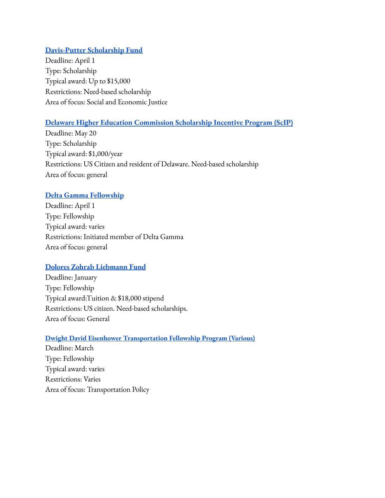#### **[Davis-Putter](http://www.davisputter.org/apply-for-scholarships/) Scholarship Fund**

Deadline: April 1 Type: Scholarship Typical award: Up to \$15,000 Restrictions: Need-based scholarship Area of focus: Social and Economic Justice

## **Delaware Higher Education [Commission](https://www.doe.k12.de.us/Page/996) Scholarship Incentive Program (ScIP)**

Deadline: May 20 Type: Scholarship Typical award: \$1,000/year Restrictions: US Citizen and resident of Delaware. Need-based scholarship Area of focus: general

#### **Delta Gamma [Fellowship](https://www.deltagamma.org/foundation/applications)**

Deadline: April 1 Type: Fellowship Typical award: varies Restrictions: Initiated member of Delta Gamma Area of focus: general

## **Dolores Zohrab [Liebmann](https://fdnweb.org/liebmann/) Fund**

Deadline: January Type: Fellowship Typical award:Tuition & \$18,000 stipend Restrictions: US citizen. Need-based scholarships. Area of focus: General

#### **Dwight David Eisenhower [Transportation](https://www.fhwa.dot.gov/careers/ddetfp.cfm) Fellowship Program (Various)**

Deadline: March Type: Fellowship Typical award: varies Restrictions: Varies Area of focus: Transportation Policy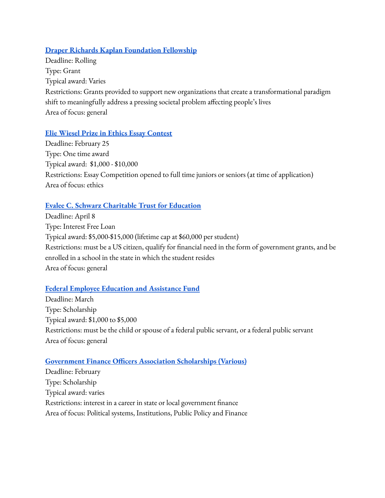#### **Draper Richards Kaplan [Foundation](http://www.drkfoundation.org/apply-for-funding/submit-an-application/) Fellowship**

Deadline: Rolling Type: Grant Typical award: Varies Restrictions: Grants provided to support new organizations that create a transformational paradigm shift to meaningfully address a pressing societal problem affecting people's lives Area of focus: general

## **Elie Wiesel Prize in Ethics Essay [Contest](https://eliewieselfoundation.org/prize-ethics/contest/)**

Deadline: February 25 Type: One time award Typical award: \$1,000 - \$10,000 Restrictions: Essay Competition opened to full time juniors or seniors (at time of application) Area of focus: ethics

## **Evalee C. Schwarz [Charitable](http://www.evaleeschwarztrust.org/application.htm) Trust for Education**

Deadline: April 8 Type: Interest Free Loan Typical award: \$5,000-\$15,000 (lifetime cap at \$60,000 per student) Restrictions: must be a US citizen, qualify for financial need in the form of government grants, and be enrolled in a school in the state in which the student resides Area of focus: general

#### **Federal Employee Education and [Assistance](https://feea.org/our-programs/scholarships/) Fund**

Deadline: March Type: Scholarship Typical award: \$1,000 to \$5,000 Restrictions: must be the child or spouse of a federal public servant, or a federal public servant Area of focus: general

#### **[Government](https://www.gfoa.org/gfoa-scholarships) Finance Officers Association Scholarships (Various)**

Deadline: February Type: Scholarship Typical award: varies Restrictions: interest in a career in state or local government finance Area of focus: Political systems, Institutions, Public Policy and Finance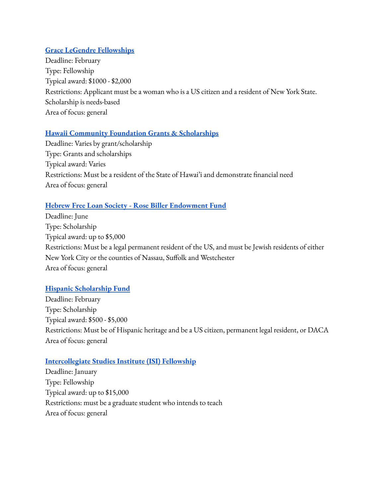#### **Grace LeGendre [Fellowships](http://www.gracelegendre.org/Fellowships)**

Deadline: February Type: Fellowship Typical award: \$1000 - \$2,000 Restrictions: Applicant must be a woman who is a US citizen and a resident of New York State. Scholarship is needs-based Area of focus: general

## **Hawaii Community Foundation Grants & [Scholarships](https://www.hawaiicommunityfoundation.org/grants-and-scholarships-for-community-causes-and-students)**

Deadline: Varies by grant/scholarship Type: Grants and scholarships Typical award: Varies Restrictions: Must be a resident of the State of Hawai'i and demonstrate financial need Area of focus: general

#### **Hebrew Free Loan Society - Rose Biller [Endowment](https://hfls.org/apply-for-a-scholarship/) Fund**

Deadline: June Type: Scholarship Typical award: up to \$5,000 Restrictions: Must be a legal permanent resident of the US, and must be Jewish residents of either New York City or the counties of Nassau, Suffolk and Westchester Area of focus: general

## **Hispanic [Scholarship](https://www.hsf.net/scholarship) Fund**

Deadline: February Type: Scholarship Typical award: \$500 - \$5,000 Restrictions: Must be of Hispanic heritage and be a US citizen, permanent legal resident, or DACA Area of focus: general

## **[Intercollegiate](https://home.isi.org/students/fellowships) Studies Institute (ISI) Fellowship**

Deadline: January Type: Fellowship Typical award: up to \$15,000 Restrictions: must be a graduate student who intends to teach Area of focus: general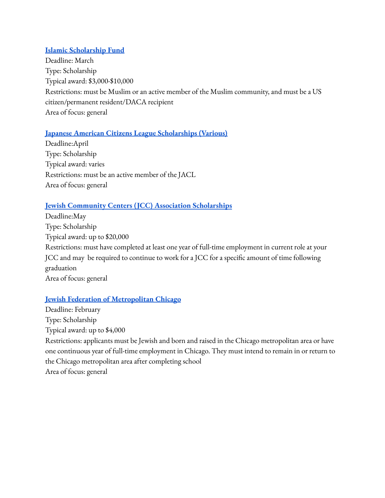#### **Islamic [Scholarship](https://islamicscholarshipfund.org/) Fund**

Deadline: March Type: Scholarship Typical award: \$3,000-\$10,000 Restrictions: must be Muslim or an active member of the Muslim community, and must be a US citizen/permanent resident/DACA recipient Area of focus: general

## **Japanese American Citizens League [Scholarships](https://jacl.org/scholarships) (Various)**

Deadline:April Type: Scholarship Typical award: varies Restrictions: must be an active member of the JACL Area of focus: general

## **Jewish Community Centers (JCC) Association [Scholarships](http://jcca.org/what-we-do/professional-development-scholarships/)**

Deadline:May Type: Scholarship Typical award: up to \$20,000 Restrictions: must have completed at least one year of full-time employment in current role at your JCC and may be required to continue to work for a JCC for a specific amount of time following graduation Area of focus: general

# **Jewish Federation of [Metropolitan](http://www.jcfs.org/jvs/what-we-do/scholarships) Chicago**

Deadline: February Type: Scholarship Typical award: up to \$4,000 Restrictions: applicants must be Jewish and born and raised in the Chicago metropolitan area or have one continuous year of full-time employment in Chicago. They must intend to remain in or return to the Chicago metropolitan area after completing school Area of focus: general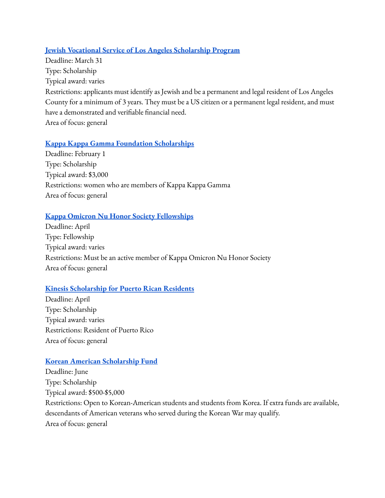#### **Jewish Vocational Service of Los Angeles [Scholarship](https://www.jvs-socal.org/program/scholarship/) Program**

Deadline: March 31 Type: Scholarship Typical award: varies Restrictions: applicants must identify as Jewish and be a permanent and legal resident of Los Angeles County for a minimum of 3 years. They must be a US citizen or a permanent legal resident, and must have a demonstrated and verifiable financial need. Area of focus: general

#### **Kappa Kappa Gamma Foundation [Scholarships](https://www.kappakappagamma.org/Kappa/Foundation/Scholarships/)**

Deadline: February 1 Type: Scholarship Typical award: \$3,000 Restrictions: women who are members of Kappa Kappa Gamma Area of focus: general

#### **Kappa Omicron Nu Honor Society [Fellowships](http://www.kon.org/awards/grants.html)**

Deadline: April Type: Fellowship Typical award: varies Restrictions: Must be an active member of Kappa Omicron Nu Honor Society Area of focus: general

#### **Kinesis [Scholarship](https://kinesispr.org/scholarships/?lang=en) for Puerto Rican Residents**

Deadline: April Type: Scholarship Typical award: varies Restrictions: Resident of Puerto Rico Area of focus: general

## **Korean American [Scholarship](https://www.kasf.org/) Fund**

Deadline: June Type: Scholarship Typical award: \$500-\$5,000 Restrictions: Open to Korean-American students and students from Korea. If extra funds are available, descendants of American veterans who served during the Korean War may qualify. Area of focus: general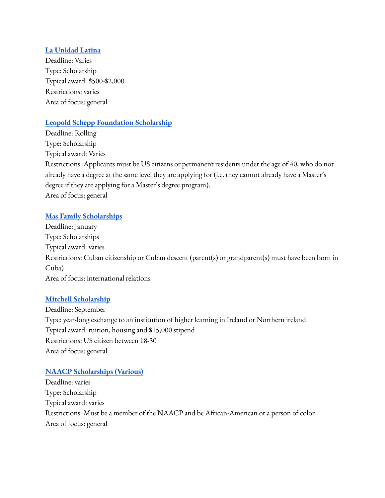#### **La [Unidad](https://www.lulf.org/scholarships.html) Latina**

Deadline: Varies Type: Scholarship Typical award: \$500-\$2,000 Restrictions: varies Area of focus: general

## **Leopold Schepp [Foundation](https://www.scheppfoundation.org/wp/applying/) Scholarship**

Deadline: Rolling Type: Scholarship Typical award: Varies Restrictions: Applicants must be US citizens or permanent residents under the age of 40, who do not already have a degree at the same level they are applying for (i.e. they cannot already have a Master's degree if they are applying for a Master's degree program). Area of focus: general

## **Mas Family [Scholarships](http://jmcff.org/)**

Deadline: January Type: Scholarships Typical award: varies Restrictions: Cuban citizenship or Cuban descent (parent(s) or grandparent(s) must have been born in Cuba) Area of focus: international relations

## **Mitchell [Scholarship](https://www.us-irelandalliance.org/mitchellscholarship)**

Deadline: September Type: year-long exchange to an institution of higher learning in Ireland or Northern ireland Typical award: tuition, housing and \$15,000 stipend Restrictions: US citizen between 18-30 Area of focus: general

## **NAACP [Scholarships](https://naacp.org/find-resources/scholarships-awards-internships/scholarships) (Various)**

Deadline: varies Type: Scholarship Typical award: varies Restrictions: Must be a member of the NAACP and be African-American or a person of color Area of focus: general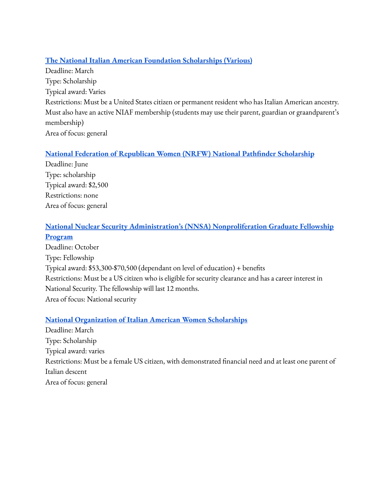## **The National Italian American Foundation [Scholarships](https://www.niaf.org/programs/scholarships/) (Various)**

Deadline: March Type: Scholarship Typical award: Varies Restrictions: Must be a United States citizen or permanent resident who has Italian American ancestry. Must also have an active NIAF membership (students may use their parent, guardian or graandparent's membership) Area of focus: general

## **National Federation of Republican Women (NRFW) National Pathfinder [Scholarship](http://www.nfrw.org/scholarships)**

Deadline: June Type: scholarship Typical award: \$2,500 Restrictions: none Area of focus: general

## **National Nuclear Security Administration's (NNSA) [Nonproliferation](https://ngp.pnnl.gov/) Graduate Fellowship [Program](https://ngp.pnnl.gov/)**

Deadline: October Type: Fellowship Typical award: \$53,300-\$70,500 (dependant on level of education) + benefits Restrictions: Must be a US citizen who is eligible for security clearance and has a career interest in National Security. The fellowship will last 12 months. Area of focus: National security

## **National [Organization](http://www.noiaw.org/scholarships/) of Italian American Women Scholarships**

Deadline: March Type: Scholarship Typical award: varies Restrictions: Must be a female US citizen, with demonstrated financial need and at least one parent of Italian descent Area of focus: general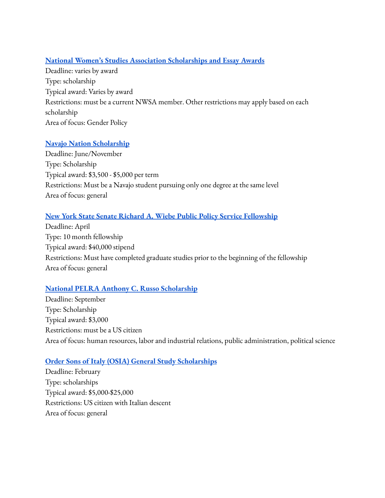## **National Women's Studies Association [Scholarships](https://www.nwsa.org/studentprizes) and Essay Awards**

Deadline: varies by award Type: scholarship Typical award: Varies by award Restrictions: must be a current NWSA member. Other restrictions may apply based on each scholarship Area of focus: Gender Policy

## **Navajo Nation [Scholarship](https://onnsfa.org/awards-%2F-amounts)**

Deadline: June/November Type: Scholarship Typical award: \$3,500 - \$5,000 per term Restrictions: Must be a Navajo student pursuing only one degree at the same level Area of focus: general

## **New York State Senate Richard A. Wiebe Public Policy Service [Fellowship](https://www.nysenate.gov/newsroom/articles/new-york-senate-graduate-fellowships)**

Deadline: April Type: 10 month fellowship Typical award: \$40,000 stipend Restrictions: Must have completed graduate studies prior to the beginning of the fellowship Area of focus: general

# **National PELRA Anthony C. Russo [Scholarship](https://npelra.org/scholarships.php)**

Deadline: September Type: Scholarship Typical award: \$3,000 Restrictions: must be a US citizen Area of focus: human resources, labor and industrial relations, public administration, political science

## **Order Sons of Italy (OSIA) General Study [Scholarships](https://www.osia.org/programs/scholarships/)**

Deadline: February Type: scholarships Typical award: \$5,000-\$25,000 Restrictions: US citizen with Italian descent Area of focus: general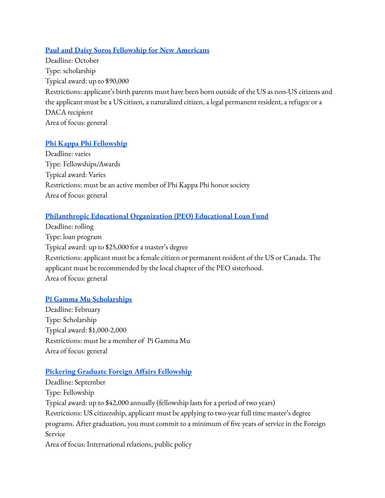#### **Paul and Daisy Soros [Fellowship](https://www.pdsoros.org/) for New Americans**

Deadline: October Type: scholarship Typical award: up to \$90,000 Restrictions: applicant's birth parents must have been born outside of the US as non-US citizens and the applicant must be a US citizen, a naturalized citizen, a legal permanent resident, a refugee or a DACA recipient Area of focus: general

#### **Phi Kappa Phi [Fellowship](http://www.phikappaphi.org/grants-awards#.W6U7uRNKi8U)**

Deadline: varies Type: Fellowships/Awards Typical award: Varies Restrictions: must be an active member of Phi Kappa Phi honor society Area of focus: general

## **[Philanthropic](https://www.peointernational.org/about-peo-educational-loan-fund-elf) Educational Organization (PEO) Educational Loan Fund**

Deadline: rolling Type: loan program Typical award: up to \$25,000 for a master's degree Restrictions: applicant must be a female citizen or permanent resident of the US or Canada. The applicant must be recommended by the local chapter of the PEO sisterhood. Area of focus: general

#### **Pi Gamma Mu [Scholarships](http://pigammamu.org/scholarships.html)**

Deadline: February Type: Scholarship Typical award: \$1,000-2,000 Restrictions: must be a member of Pi Gamma Mu Area of focus: general

#### **Pickering Graduate Foreign Affairs [Fellowship](https://pickeringfellowship.org/)**

Deadline: September Type: Fellowship Typical award: up to \$42,000 annually (fellowship lasts for a period of two years) Restrictions: US citizenship, applicant must be applying to two-year full time master's degree programs. After graduation, you must commit to a minimum of five years of service in the Foreign Service Area of focus: International relations, public policy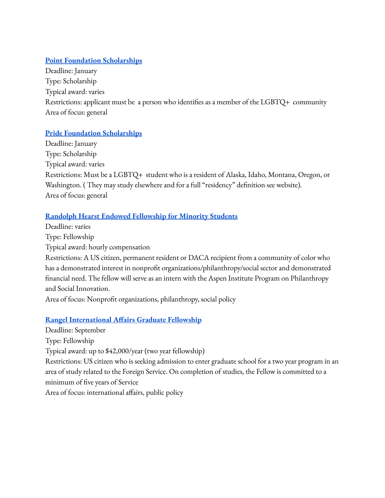#### **Point Foundation [Scholarships](https://pointfoundation.org/)**

Deadline: January Type: Scholarship Typical award: varies Restrictions: applicant must be a person who identifies as a member of the LGBTQ+ community Area of focus: general

## **Pride Foundation [Scholarships](https://www.pridefoundation.org/what-we-do/scholarships/)**

Deadline: January Type: Scholarship Typical award: varies Restrictions: Must be a LGBTQ+ student who is a resident of Alaska, Idaho, Montana, Oregon, or Washington. ( They may study elsewhere and for a full "residency" definition see website). Area of focus: general

## **Randolph Hearst Endowed [Fellowship](https://www.aspeninstitute.org/programs/program-on-philanthropy-and-social-innovation-psi/william-randolph-hearst-endowed-fellowship-for-minority-students/) for Minority Students**

Deadline: varies Type: Fellowship Typical award: hourly compensation Restrictions: A US citizen, permanent resident or DACA recipient from a community of color who has a demonstrated interest in nonprofit organizations/philanthropy/social sector and demonstrated financial need. The fellow will serve as an intern with the Aspen Institute Program on Philanthropy and Social Innovation.

Area of focus: Nonprofit organizations, philanthropy, social policy

## **Rangel [International](https://rangelprogram.org/graduate-fellowship-program/) Affairs Graduate Fellowship**

Deadline: September Type: Fellowship Typical award: up to \$42,000/year (two year fellowship) Restrictions: US citizen who is seeking admission to enter graduate school for a two year program in an area of study related to the Foreign Service. On completion of studies, the Fellow is committed to a minimum of five years of Service Area of focus: international affairs, public policy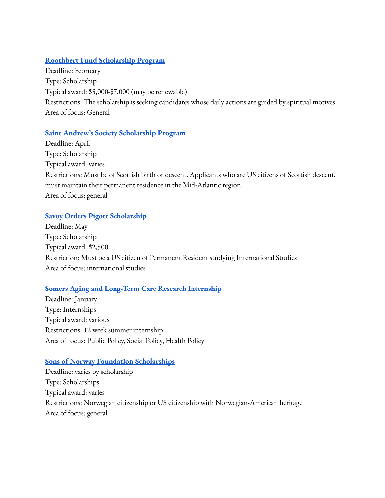## **Roothbert Fund [Scholarship](http://www.roothbertfund.org/) Program**

Deadline: February Type: Scholarship Typical award: \$5,000-\$7,000 (may be renewable) Restrictions: The scholarship is seeking candidates whose daily actions are guided by spiritual motives Area of focus: General

## **Saint Andrew's Society [Scholarship](https://standrewsny.org/page/Scholarship) Program**

Deadline: April Type: Scholarship Typical award: varies Restrictions: Must be of Scottish birth or descent. Applicants who are US citizens of Scottish descent, must maintain their permanent residence in the Mid-Atlantic region. Area of focus: general

## **Savoy Orders Pigott [Scholarship](http://www.savoyfoundation-usa.org/savoy-orders-pigott-scholarships.html)**

Deadline: May Type: Scholarship Typical award: \$2,500 Restriction: Must be a US citizen of Permanent Resident studying International Studies Area of focus: international studies

# **Somers Aging and [Long-Term](https://www.nasi.org/internship-opportunities) Care Research Internship**

Deadline: January Type: Internships Typical award: various Restrictions: 12 week summer internship Area of focus: Public Policy, Social Policy, Health Policy

# **Sons of Norway Foundation [Scholarships](https://www.sofn.com/foundation/scholarships/)**

Deadline: varies by scholarship Type: Scholarships Typical award: varies Restrictions: Norwegian citizenship or US citizenship with Norwegian-American heritage Area of focus: general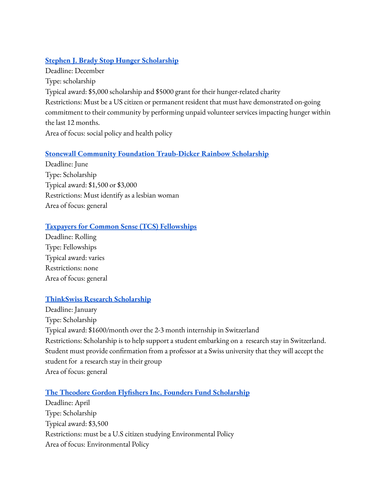## **Stephen J. Brady Stop Hunger [Scholarship](http://us.stop-hunger.org/home/grants.html)**

Deadline: December Type: scholarship Typical award: \$5,000 scholarship and \$5000 grant for their hunger-related charity Restrictions: Must be a US citizen or permanent resident that must have demonstrated on-going commitment to their community by performing unpaid volunteer services impacting hunger within the last 12 months. Area of focus: social policy and health policy

## **Stonewall Community Foundation [Traub-Dicker](https://www.stonewallfoundation.org/scholarships/) Rainbow Scholarship**

Deadline: June Type: Scholarship Typical award: \$1,500 or \$3,000 Restrictions: Must identify as a lesbian woman Area of focus: general

#### **Taxpayers for Common Sense (TCS) [Fellowships](https://www.taxpayer.net/work-for-taxpayers/#fall-fellowships)**

Deadline: Rolling Type: Fellowships Typical award: varies Restrictions: none Area of focus: general

## **[ThinkSwiss](https://thinkswiss.org/) Research Scholarship**

Deadline: January Type: Scholarship Typical award: \$1600/month over the 2-3 month internship in Switzerland Restrictions: Scholarship is to help support a student embarking on a research stay in Switzerland. Student must provide confirmation from a professor at a Swiss university that they will accept the student for a research stay in their group Area of focus: general

## **The Theodore Gordon Flyfishers Inc. Founders Fund [Scholarship](http://www.environmentalconsortium.org/resources/scholarships/tgf.html)**

Deadline: April Type: Scholarship Typical award: \$3,500 Restrictions: must be a U.S citizen studying Environmental Policy Area of focus: Environmental Policy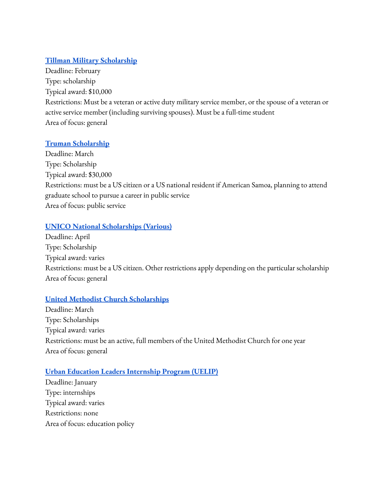## **Tillman Military [Scholarship](http://pattillmanfoundation.org/apply-to-be-a-scholar/)**

Deadline: February Type: scholarship Typical award: \$10,000 Restrictions: Must be a veteran or active duty military service member, or the spouse of a veteran or active service member (including surviving spouses). Must be a full-time student Area of focus: general

#### **Truman [Scholarship](https://www.truman.gov/)**

Deadline: March Type: Scholarship Typical award: \$30,000 Restrictions: must be a US citizen or a US national resident if American Samoa, planning to attend graduate school to pursue a career in public service Area of focus: public service

#### **UNICO National [Scholarships](https://www.unico.org/scholarships) (Various)**

Deadline: April Type: Scholarship Typical award: varies Restrictions: must be a US citizen. Other restrictions apply depending on the particular scholarship Area of focus: general

## **United Methodist Church [Scholarships](https://www.gbhem.org/loans-scholarships/scholarships/)**

Deadline: March Type: Scholarships Typical award: varies Restrictions: must be an active, full members of the United Methodist Church for one year Area of focus: general

## **Urban Education Leaders [Internship](https://dcps.dc.gov/page/urban-education-leaders-internship-program) Program (UELIP)**

Deadline: January Type: internships Typical award: varies Restrictions: none Area of focus: education policy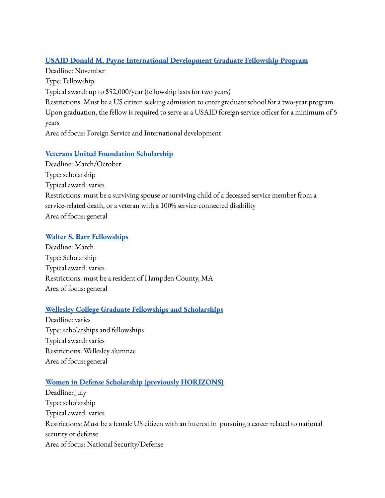## **USAID Donald M. Payne [International](https://www.paynefellows.org/) Development Graduate Fellowship Program**

Deadline: November Type: Fellowship Typical award: up to \$52,000/year (fellowship lasts for two years) Restrictions: Must be a US citizen seeking admission to enter graduate school for a two-year program. Upon graduation, the fellow is required to serve as a USAID foreign service officer for a minimum of 5 years Area of focus: Foreign Service and International development

## **Veterans United [Foundation](https://www.enhancelives.com/scholarships) Scholarship**

Deadline: March/October Type: scholarship Typical award: varies Restrictions: must be a surviving spouse or surviving child of a deceased service member from a service-related death, or a veteran with a 100% service-connected disability Area of focus: general

## **Walter S. Barr [Fellowships](http://www.horacesmithfund.org/applications/walter-s-barr-fellowships/)**

Deadline: March Type: Scholarship Typical award: varies Restrictions: must be a resident of Hampden County, MA Area of focus: general

## **Wellesley College Graduate Fellowships and [Scholarships](https://www.wellesley.edu/careereducation/fellowships-scholarships/postgraduate-fellowships)**

Deadline: varies Type: scholarships and fellowships Typical award: varies Restrictions: Wellesley alumnae Area of focus: general

## **Women in Defense Scholarship (previously [HORIZONS\)](https://www.womenindefense.net/widscholar/apply-for-scholarship)**

Deadline: July Type: scholarship Typical award: varies Restrictions: Must be a female US citizen with an interest in pursuing a career related to national security or defense Area of focus: National Security/Defense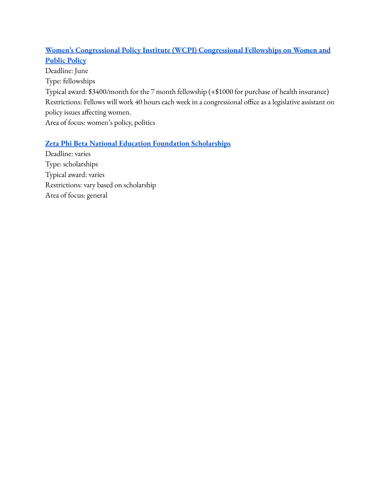# **Women's Congressional Policy Institute (WCPI) [Congressional](http://www.womenspolicy.org/our-work/congressional-fellows/) Fellowships on Women and [Public](http://www.womenspolicy.org/our-work/congressional-fellows/) Policy**

Deadline: June Type: fellowships Typical award: \$3400/month for the 7 month fellowship (+\$1000 for purchase of health insurance) Restrictions: Fellows will work 40 hours each week in a congressional office as a legislative assistant on policy issues affecting women. Area of focus: women's policy, politics

## **Zeta Phi Beta National Education Foundation [Scholarships](http://www.zpbnef1975.org/scholarships--descriptions.html)**

Deadline: varies Type: scholarships Typical award: varies Restrictions: vary based on scholarship Area of focus: general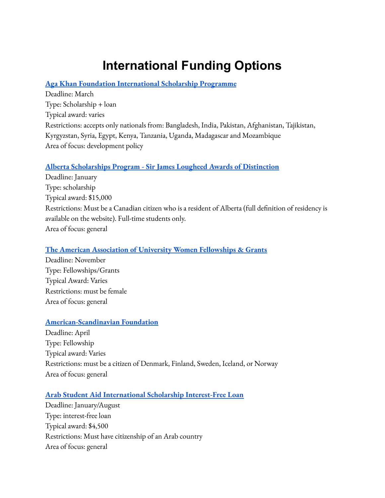# **International Funding Options**

#### **Aga Khan Foundation [International](https://www.akdn.org/our-agencies/aga-khan-foundation/international-scholarship-programme) Scholarship Programme**

Deadline: March Type: Scholarship + loan Typical award: varies Restrictions: accepts only nationals from: Bangladesh, India, Pakistan, Afghanistan, Tajikistan, Kyrgyzstan, Syria, Egypt, Kenya, Tanzania, Uganda, Madagascar and Mozambique Area of focus: development policy

#### **Alberta [Scholarships](https://studentaid.alberta.ca/scholarships/sir-james-lougheed-award-of-distinction/) Program - Sir James Lougheed Awards of Distinction**

Deadline: January Type: scholarship Typical award: \$15,000 Restrictions: Must be a Canadian citizen who is a resident of Alberta (full definition of residency is available on the website). Full-time students only. Area of focus: general

#### **The American Association of University Women [Fellowships](https://www.aauw.org/resources/programs/fellowships-grants/) & Grants**

Deadline: November Type: Fellowships/Grants Typical Award: Varies Restrictions: must be female Area of focus: general

#### **[American-Scandinavian](https://www.amscan.org/fellowships-and-grants/fellowships-and-grants-for-advanced-study-or-research-in-the-usa/) Foundation**

Deadline: April Type: Fellowship Typical award: Varies Restrictions: must be a citizen of Denmark, Finland, Sweden, Iceland, or Norway Area of focus: general

#### **Arab Student Aid [International](https://arabstudentaid.org/students/) Scholarship Interest-Free Loan**

Deadline: January/August Type: interest-free loan Typical award: \$4,500 Restrictions: Must have citizenship of an Arab country Area of focus: general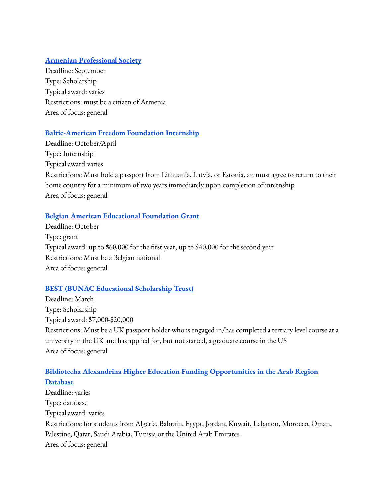## **Armenian [Professional](http://www.armenianprofessionalsociety.org/scholarships.html) Society**

Deadline: September Type: Scholarship Typical award: varies Restrictions: must be a citizen of Armenia Area of focus: general

## **[Baltic-American](https://balticamericanfreedomfoundation.org/programs-awards-internship/) Freedom Foundation Internship**

Deadline: October/April Type: Internship Typical award:varies Restrictions: Must hold a passport from Lithuania, Latvia, or Estonia, an must agree to return to their home country for a minimum of two years immediately upon completion of internship Area of focus: general

## **Belgian American [Educational](https://baef.be/graduate-study-fellowships-be/) Foundation Grant**

Deadline: October Type: grant Typical award: up to \$60,000 for the first year, up to \$40,000 for the second year Restrictions: Must be a Belgian national Area of focus: general

## **BEST (BUNAC [Educational](https://www.bunac.org/uk/travel-essentials/scholarships-and-awards) Scholarship Trust)**

Deadline: March Type: Scholarship Typical award: \$7,000-\$20,000 Restrictions: Must be a UK passport holder who is engaged in/has completed a tertiary level course at a university in the UK and has applied for, but not started, a graduate course in the US Area of focus: general

#### **Bibliotecha Alexandrina Higher Education [Funding Opportunities](http://www.bibalex.org/he_funding/Home/index.aspx) in the Arab Region [Database](http://www.bibalex.org/he_funding/Home/index.aspx)**

Deadline: varies Type: database Typical award: varies Restrictions: for students from Algeria, Bahrain, Egypt, Jordan, Kuwait, Lebanon, Morocco, Oman, Palestine, Qatar, Saudi Arabia, Tunisia or the United Arab Emirates Area of focus: general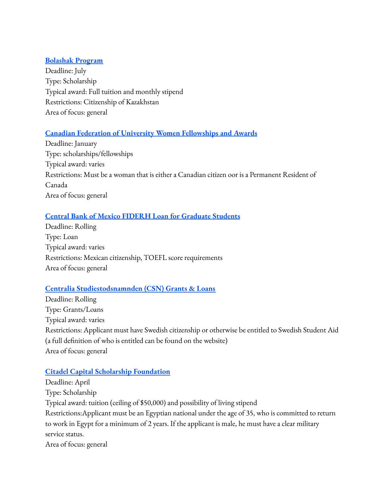#### **[Bolashak](https://bolashak.gov.kz/en/o-stipendii/istoriya-razvitiya.html) Program**

Deadline: July Type: Scholarship Typical award: Full tuition and monthly stipend Restrictions: Citizenship of Kazakhstan Area of focus: general

## **Canadian Federation of University Women [Fellowships](https://cfuw.org/fellowships-awards/list-of-fellowships-and-awards/) and Awards**

Deadline: January Type: scholarships/fellowships Typical award: varies Restrictions: Must be a woman that is either a Canadian citizen oor is a Permanent Resident of Canada Area of focus: general

## **Central Bank of Mexico FIDERH Loan for [Graduate](http://www.fiderh.org.mx/english.html) Students**

Deadline: Rolling Type: Loan Typical award: varies Restrictions: Mexican citizenship, TOEFL score requirements Area of focus: general

## **Centralia [Studiestodsnamnden](https://www.csn.se/bidrag-och-lan.html) (CSN) Grants & Loans**

Deadline: Rolling Type: Grants/Loans Typical award: varies Restrictions: Applicant must have Swedish citizenship or otherwise be entitled to Swedish Student Aid (a full definition of who is entitled can be found on the website) Area of focus: general

## **Citadel Capital Scholarship [Foundation](http://www.bibalex.org/he_funding/Donors/Details.aspx?ID=54)**

Deadline: April Type: Scholarship Typical award: tuition (ceiling of \$50,000) and possibility of living stipend Restrictions:Applicant must be an Egyptian national under the age of 35, who is committed to return to work in Egypt for a minimum of 2 years. If the applicant is male, he must have a clear military service status. Area of focus: general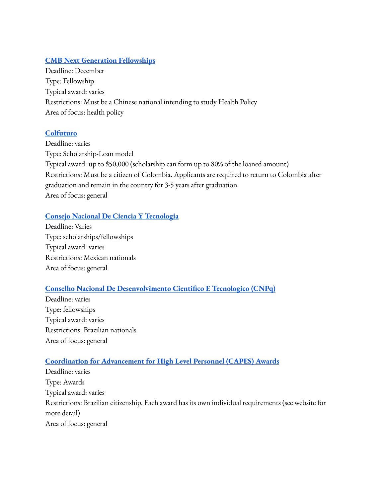#### **CMB Next Generation [Fellowships](https://www.iie.org/Programs/China-Medical-Board-Next-Generation-Fellowships)**

Deadline: December Type: Fellowship Typical award: varies Restrictions: Must be a Chinese national intending to study Health Policy Area of focus: health policy

#### **[Colfuturo](https://www.colfuturo.org/for-international-universities/about-colfuturo)**

Deadline: varies Type: Scholarship-Loan model Typical award: up to \$50,000 (scholarship can form up to 80% of the loaned amount) Restrictions: Must be a citizen of Colombia. Applicants are required to return to Colombia after graduation and remain in the country for 3-5 years after graduation Area of focus: general

## **Consejo Nacional De Ciencia Y [Tecnologia](https://conacyt.mx/)**

Deadline: Varies Type: scholarships/fellowships Typical award: varies Restrictions: Mexican nationals Area of focus: general

## **Conselho Nacional De [Desenvolvimento](http://www.cnpq.br/#void) Cientifico E Tecnologico (CNPq)**

Deadline: varies Type: fellowships Typical award: varies Restrictions: Brazilian nationals Area of focus: general

## **[Coordination](https://www.gov.br/capes/pt-br) for Advancement for High Level Personnel (CAPES) Awards**

Deadline: varies Type: Awards Typical award: varies Restrictions: Brazilian citizenship. Each award has its own individual requirements (see website for more detail) Area of focus: general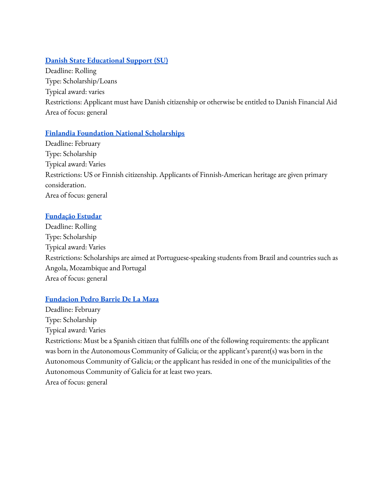## **Danish State [Educational](http://www.su.dk/) Support (SU)**

Deadline: Rolling Type: Scholarship/Loans Typical award: varies Restrictions: Applicant must have Danish citizenship or otherwise be entitled to Danish Financial Aid Area of focus: general

## **Finlandia Foundation National [Scholarships](https://finlandiafoundation.org/programs/scholarships/)**

Deadline: February Type: Scholarship Typical award: Varies Restrictions: US or Finnish citizenship. Applicants of Finnish-American heritage are given primary consideration. Area of focus: general

## **[Fundação](http://www.estudar.org.br/) Estudar**

Deadline: Rolling Type: Scholarship Typical award: Varies Restrictions: Scholarships are aimed at Portuguese-speaking students from Brazil and countries such as Angola, Mozambique and Portugal Area of focus: general

# **[Fundacion](https://fundacionbarrie.org/becas-posgrado-extranjero) Pedro Barrie De La Maza**

Deadline: February Type: Scholarship Typical award: Varies Restrictions: Must be a Spanish citizen that fulfills one of the following requirements: the applicant was born in the Autonomous Community of Galicia; or the applicant's parent(s) was born in the Autonomous Community of Galicia; or the applicant has resided in one of the municipalities of the Autonomous Community of Galicia for at least two years. Area of focus: general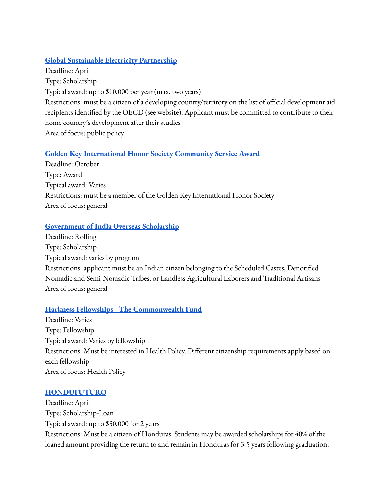## **Global Sustainable Electricity [Partnership](https://www.globalelectricity.org/scholarship/)**

Deadline: April Type: Scholarship Typical award: up to \$10,000 per year (max. two years) Restrictions: must be a citizen of a developing country/territory on the list of official development aid recipients identified by the OECD (see website). Applicant must be committed to contribute to their home country's development after their studies Area of focus: public policy

## **Golden Key [International](https://www.goldenkey.org/scholarships-awards/overview/) Honor Society Community Service Award**

Deadline: October Type: Award Typical award: Varies Restrictions: must be a member of the Golden Key International Honor Society Area of focus: general

## **[Government](http://socialjustice.nic.in/SchemeList/Send/28?mid=24541) of India Overseas Scholarship**

Deadline: Rolling Type: Scholarship Typical award: varies by program Restrictions: applicant must be an Indian citizen belonging to the Scheduled Castes, Denotified Nomadic and Semi-Nomadic Tribes, or Landless Agricultural Laborers and Traditional Artisans Area of focus: general

# **Harkness Fellowships - The [Commonwealth](https://www.commonwealthfund.org/grants-fellowships/fellowships) Fund**

Deadline: Varies Type: Fellowship Typical award: Varies by fellowship Restrictions: Must be interested in Health Policy. Different citizenship requirements apply based on each fellowship Area of focus: Health Policy

## **[HONDUFUTURO](https://www.hondufuturo.org/)**

Deadline: April Type: Scholarship-Loan Typical award: up to \$50,000 for 2 years Restrictions: Must be a citizen of Honduras. Students may be awarded scholarships for 40% of the loaned amount providing the return to and remain in Honduras for 3-5 years following graduation.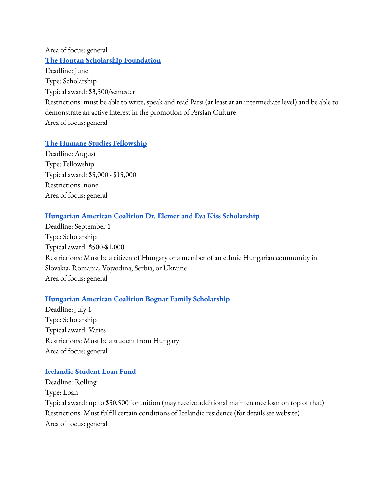Area of focus: general **The Houtan Scholarship [Foundation](http://www.houtan.org/apply/)** Deadline: June Type: Scholarship Typical award: \$3,500/semester Restrictions: must be able to write, speak and read Parsi (at least at an intermediate level) and be able to demonstrate an active interest in the promotion of Persian Culture Area of focus: general

#### **The Humane Studies [Fellowship](https://theihs.org/graduate-students/scholarships-and-grants-graduate-students/)**

Deadline: August Type: Fellowship Typical award: \$5,000 - \$15,000 Restrictions: none Area of focus: general

#### **Hungarian American Coalition Dr. Elemer and Eva Kiss [Scholarship](https://hacusa.eu/dr-elemer-and-eva-kiss-scholarship-fund/)**

Deadline: September 1 Type: Scholarship Typical award: \$500-\$1,000 Restrictions: Must be a citizen of Hungary or a member of an ethnic Hungarian community in Slovakia, Romania, Vojvodina, Serbia, or Ukraine Area of focus: general

#### **Hungarian American Coalition Bognar Family [Scholarship](https://hacusa.eu/the-bognar-family-hungarian-scholarship-fund/)**

Deadline: July 1 Type: Scholarship Typical award: Varies Restrictions: Must be a student from Hungary Area of focus: general

#### **[Icelandic](https://www.lin.is/english/) Student Loan Fund**

Deadline: Rolling Type: Loan Typical award: up to \$50,500 for tuition (may receive additional maintenance loan on top of that) Restrictions: Must fulfill certain conditions of Icelandic residence (for details see website) Area of focus: general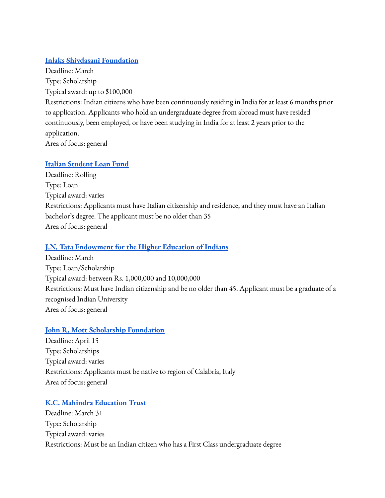#### **Inlaks Shivdasani [Foundation](http://www.inlaksfoundation.org/scholarships/)**

Deadline: March Type: Scholarship Typical award: up to \$100,000 Restrictions: Indian citizens who have been continuously residing in India for at least 6 months prior to application. Applicants who hold an undergraduate degree from abroad must have resided continuously, been employed, or have been studying in India for at least 2 years prior to the application. Area of focus: general

#### **Italian [Student](http://www.fondostudentiitaliani.it/) Loan Fund**

Deadline: Rolling Type: Loan Typical award: varies Restrictions: Applicants must have Italian citizenship and residence, and they must have an Italian bachelor's degree. The applicant must be no older than 35 Area of focus: general

## **J.N. Tata [Endowment](http://www.jntataendowment.org/loan-scholarship-process) for the Higher Education of Indians**

Deadline: March Type: Loan/Scholarship Typical award: between Rs. 1,000,000 and 10,000,000 Restrictions: Must have Indian citizenship and be no older than 45. Applicant must be a graduate of a recognised Indian University Area of focus: general

## **John R. Mott Scholarship [Foundation](http://www.mottscholarship.org/scholar/eligibility-EN.asp)**

Deadline: April 15 Type: Scholarships Typical award: varies Restrictions: Applicants must be native to region of Calabria, Italy Area of focus: general

# **K.C. Mahindra [Education](https://www.kcmet.org/what-we-do-Scholarship-Grants.aspx) Trust**

Deadline: March 31 Type: Scholarship Typical award: varies Restrictions: Must be an Indian citizen who has a First Class undergraduate degree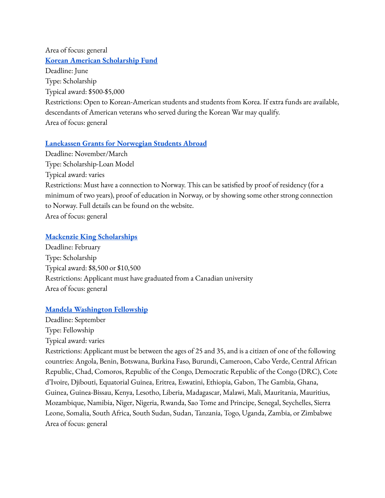Area of focus: general **Korean American [Scholarship](https://www.kasf.org/) Fund** Deadline: June Type: Scholarship Typical award: \$500-\$5,000 Restrictions: Open to Korean-American students and students from Korea. If extra funds are available, descendants of American veterans who served during the Korean War may qualify. Area of focus: general

#### **[Lanekassen](https://www.lanekassen.no/) Grants for Norwegian Students Abroad**

Deadline: November/March Type: Scholarship-Loan Model Typical award: varies Restrictions: Must have a connection to Norway. This can be satisfied by proof of residency (for a minimum of two years), proof of education in Norway, or by showing some other strong connection to Norway. Full details can be found on the website. Area of focus: general

#### **Mackenzie King [Scholarships](http://www.mkingscholarships.ca/index-e.html)**

Deadline: February Type: Scholarship Typical award: \$8,500 or \$10,500 Restrictions: Applicant must have graduated from a Canadian university Area of focus: general

#### **Mandela [Washington](https://yali.state.gov/mwf/) Fellowship**

Deadline: September Type: Fellowship Typical award: varies Restrictions: Applicant must be between the ages of 25 and 35, and is a citizen of one of the following countries: Angola, Benin, Botswana, Burkina Faso, Burundi, Cameroon, Cabo Verde, Central African Republic, Chad, Comoros, Republic of the Congo, Democratic Republic of the Congo (DRC), Cote d'Ivoire, Djibouti, Equatorial Guinea, Eritrea, Eswatini, Ethiopia, Gabon, The Gambia, Ghana, Guinea, Guinea-Bissau, Kenya, Lesotho, Liberia, Madagascar, Malawi, Mali, Mauritania, Mauritius, Mozambique, Namibia, Niger, Nigeria, Rwanda, Sao Tome and Principe, Senegal, Seychelles, Sierra Leone, Somalia, South Africa, South Sudan, Sudan, Tanzania, Togo, Uganda, Zambia, or Zimbabwe Area of focus: general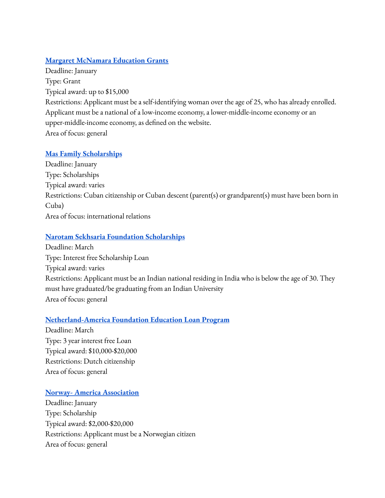## **Margaret [McNamara](https://www.mmeg.org/apply) Education Grants**

Deadline: January Type: Grant Typical award: up to \$15,000 Restrictions: Applicant must be a self-identifying woman over the age of 25, who has already enrolled. Applicant must be a national of a low-income economy, a lower-middle-income economy or an upper-middle-income economy, as defined on the website. Area of focus: general

#### **Mas Family [Scholarships](http://jmcff.org/)**

Deadline: January Type: Scholarships Typical award: varies Restrictions: Cuban citizenship or Cuban descent (parent(s) or grandparent(s) must have been born in Cuba) Area of focus: international relations

## **Narotam Sekhsaria Foundation [Scholarships](https://pg.nsfoundation.co.in/)**

Deadline: March Type: Interest free Scholarship Loan Typical award: varies Restrictions: Applicant must be an Indian national residing in India who is below the age of 30. They must have graduated/be graduating from an Indian University Area of focus: general

## **[Netherland-America](https://thenaf.org/naf-study-loan-program/) Foundation Education Loan Program**

Deadline: March Type: 3 year interest free Loan Typical award: \$10,000-\$20,000 Restrictions: Dutch citizenship Area of focus: general

## **Norway- America [Association](https://noram.no/)**

Deadline: January Type: Scholarship Typical award: \$2,000-\$20,000 Restrictions: Applicant must be a Norwegian citizen Area of focus: general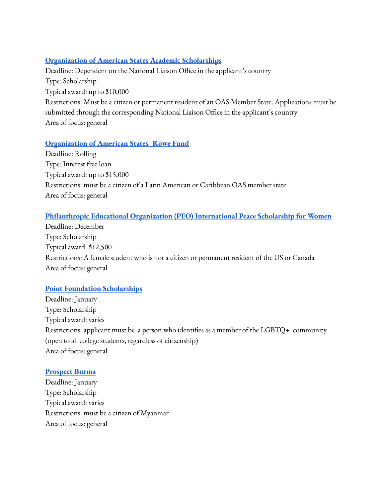#### **[Organization](https://www.oas.org/en/scholarships/Academic_Program_OAS_2022.asp) of American States Academic Scholarships**

Deadline: Dependent on the National Liaison Office in the applicant's country Type: Scholarship Typical award: up to \$10,000 Restrictions: Must be a citizen or permanent resident of an OAS Member State. Applications must be submitted through the corresponding National Liaison Office in the applicant's country Area of focus: general

#### **[Organization](http://www.oas.org/en/rowefund/) of American States- Rowe Fund**

Deadline: Rolling Type: Interest free loan Typical award: up to \$15,000 Restrictions: must be a citizen of a Latin American or Caribbean OAS member state Area of focus: general

#### **[Philanthropic](https://www.peointernational.org/about-peo-international-peace-scholarship-ips) Educational Organization (PEO) International Peace Scholarship for Women**

Deadline: December Type: Scholarship Typical award: \$12,500 Restrictions: A female student who is not a citizen or permanent resident of the US or Canada Area of focus: general

#### **Point Foundation [Scholarships](https://pointfoundation.org/)**

Deadline: January Type: Scholarship Typical award: varies Restrictions: applicant must be a person who identifies as a member of the LGBTQ+ community (open to all college students, regardless of citizenship) Area of focus: general

#### **[Prospect](https://prospectburma.org/students/) Burma**

Deadline: January Type: Scholarship Typical award: varies Restrictions: must be a citizen of Myanmar Area of focus: general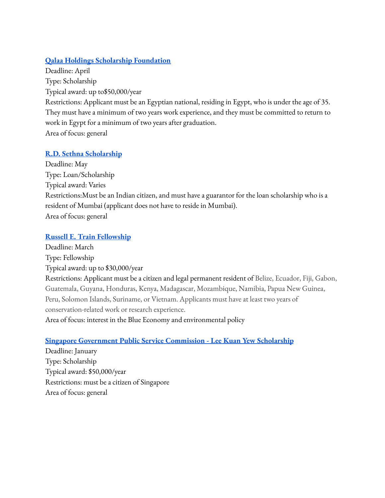## **Qalaa Holdings Scholarship [Foundation](http://qalaascholarships.org/)**

Deadline: April Type: Scholarship Typical award: up to\$50,000/year Restrictions: Applicant must be an Egyptian national, residing in Egypt, who is under the age of 35. They must have a minimum of two years work experience, and they must be committed to return to work in Egypt for a minimum of two years after graduation. Area of focus: general

#### **R.D. Sethna [Scholarship](https://www.rdsethnascholarships.org/)**

Deadline: May Type: Loan/Scholarship Typical award: Varies Restrictions:Must be an Indian citizen, and must have a guarantor for the loan scholarship who is a resident of Mumbai (applicant does not have to reside in Mumbai). Area of focus: general

## **Russell E. Train [Fellowship](https://www.worldwildlife.org/projects/russell-e-train-fellowships)**

Deadline: March Type: Fellowship Typical award: up to \$30,000/year Restrictions: Applicant must be a citizen and legal permanent resident of Belize, Ecuador, Fiji, Gabon, Guatemala, Guyana, Honduras, Kenya, Madagascar, Mozambique, Namibia, Papua New Guinea, Peru, Solomon Islands, Suriname, or Vietnam. Applicants must have at least two years of conservation-related work or research experience. Area of focus: interest in the Blue Economy and environmental policy

## **Singapore [Government](https://www.psc.gov.sg/Scholarships/lee-kuan-yew-scholarship) Public Service Commission - Lee Kuan Yew Scholarship**

Deadline: January Type: Scholarship Typical award: \$50,000/year Restrictions: must be a citizen of Singapore Area of focus: general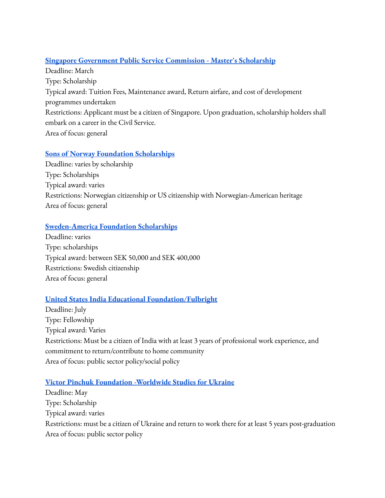## **Singapore [Government](https://www.psc.gov.sg/Scholarships/public-sector-scholarships/browse-by-scholarship/public-service-commission-psc-masters-scholarship-PSC) Public Service Commission - Master's Scholarship**

Deadline: March Type: Scholarship Typical award: Tuition Fees, Maintenance award, Return airfare, and cost of development programmes undertaken Restrictions: Applicant must be a citizen of Singapore. Upon graduation, scholarship holders shall embark on a career in the Civil Service. Area of focus: general

# **Sons of Norway Foundation [Scholarships](https://www.sofn.com/foundation/scholarships/)**

Deadline: varies by scholarship Type: Scholarships Typical award: varies Restrictions: Norwegian citizenship or US citizenship with Norwegian-American heritage Area of focus: general

## **[Sweden-America](https://sweamfo.se/stipendier/kontantstipendier/) Foundation Scholarships**

Deadline: varies Type: scholarships Typical award: between SEK 50,000 and SEK 400,000 Restrictions: Swedish citizenship Area of focus: general

# **United States India Educational [Foundation/Fulbright](http://www.usief.org.in/Fellowships.aspx)**

Deadline: July Type: Fellowship Typical award: Varies Restrictions: Must be a citizen of India with at least 3 years of professional work experience, and commitment to return/contribute to home community Area of focus: public sector policy/social policy

# **Victor Pinchuk Foundation [-Worldwide](https://worldwidestudies.org/) Studies for Ukraine**

Deadline: May Type: Scholarship Typical award: varies Restrictions: must be a citizen of Ukraine and return to work there for at least 5 years post-graduation Area of focus: public sector policy